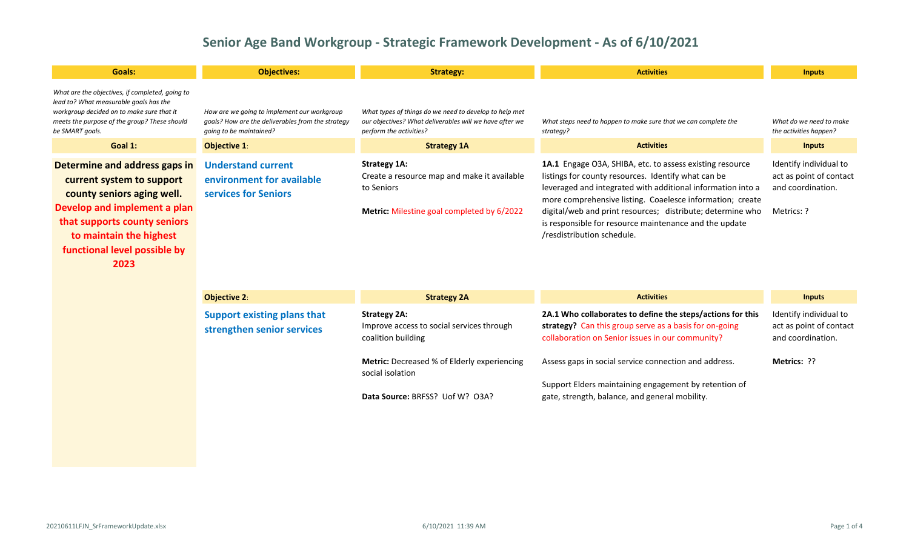| <b>Goals:</b>                                                                                                                                                                                                               | <b>Objectives:</b>                                                                                                          | <b>Strategy:</b>                                                                                                                             | <b>Activities</b>                                                                                                                                                                                                                                                                                                                                                                                 | <b>Inputs</b>                                                                        |
|-----------------------------------------------------------------------------------------------------------------------------------------------------------------------------------------------------------------------------|-----------------------------------------------------------------------------------------------------------------------------|----------------------------------------------------------------------------------------------------------------------------------------------|---------------------------------------------------------------------------------------------------------------------------------------------------------------------------------------------------------------------------------------------------------------------------------------------------------------------------------------------------------------------------------------------------|--------------------------------------------------------------------------------------|
| What are the objectives, if completed, going to<br>lead to? What measurable goals has the<br>workgroup decided on to make sure that it<br>meets the purpose of the group? These should<br>be SMART goals.                   | How are we going to implement our workgroup<br>goals? How are the deliverables from the strategy<br>going to be maintained? | What types of things do we need to develop to help met<br>our objectives? What deliverables will we have after we<br>perform the activities? | What steps need to happen to make sure that we can complete the<br>strategy?                                                                                                                                                                                                                                                                                                                      | What do we need to make<br>the activities happen?                                    |
| Goal 1:                                                                                                                                                                                                                     | <b>Objective 1:</b>                                                                                                         | <b>Strategy 1A</b>                                                                                                                           | <b>Activities</b>                                                                                                                                                                                                                                                                                                                                                                                 | <b>Inputs</b>                                                                        |
| Determine and address gaps in<br>current system to support<br>county seniors aging well.<br>Develop and implement a plan<br>that supports county seniors<br>to maintain the highest<br>functional level possible by<br>2023 | <b>Understand current</b><br>environment for available<br>services for Seniors                                              | <b>Strategy 1A:</b><br>Create a resource map and make it available<br>to Seniors<br>Metric: Milestine goal completed by 6/2022               | 1A.1 Engage O3A, SHIBA, etc. to assess existing resource<br>listings for county resources. Identify what can be<br>leveraged and integrated with additional information into a<br>more comprehensive listing. Coaelesce information; create<br>digital/web and print resources; distribute; determine who<br>is responsible for resource maintenance and the update<br>/resdistribution schedule. | Identify individual to<br>act as point of contact<br>and coordination.<br>Metrics: ? |

| <b>Objective 2:</b>                                              | <b>Strategy 2A</b>                                                                     | <b>Activities</b>                                                                                                                                                        | <b>Inputs</b>                                                          |
|------------------------------------------------------------------|----------------------------------------------------------------------------------------|--------------------------------------------------------------------------------------------------------------------------------------------------------------------------|------------------------------------------------------------------------|
| <b>Support existing plans that</b><br>strengthen senior services | <b>Strategy 2A:</b><br>Improve access to social services through<br>coalition building | 2A.1 Who collaborates to define the steps/actions for this<br>strategy? Can this group serve as a basis for on-going<br>collaboration on Senior issues in our community? | Identify individual to<br>act as point of contact<br>and coordination. |
|                                                                  | <b>Metric:</b> Decreased % of Elderly experiencing<br>social isolation                 | Assess gaps in social service connection and address.                                                                                                                    | <b>Metrics: ??</b>                                                     |
|                                                                  | Data Source: BRFSS? Uof W? O3A?                                                        | Support Elders maintaining engagement by retention of<br>gate, strength, balance, and general mobility.                                                                  |                                                                        |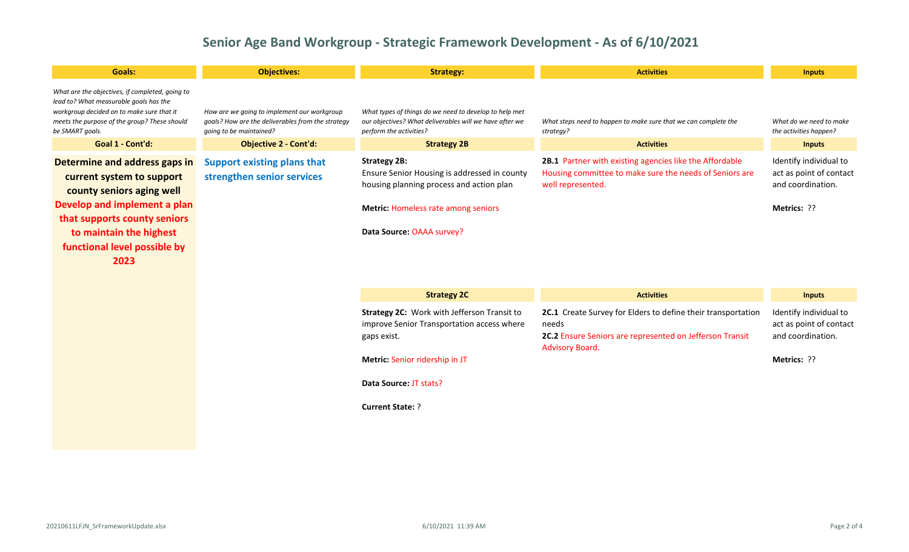| <b>Goals:</b>                                                                                                                                                                                                              | <b>Objectives:</b>                                                                                                          | <b>Strategy:</b>                                                                                                                                                                           | <b>Activities</b>                                                                                                                                    | <b>Inputs</b>                                                                         |
|----------------------------------------------------------------------------------------------------------------------------------------------------------------------------------------------------------------------------|-----------------------------------------------------------------------------------------------------------------------------|--------------------------------------------------------------------------------------------------------------------------------------------------------------------------------------------|------------------------------------------------------------------------------------------------------------------------------------------------------|---------------------------------------------------------------------------------------|
| What are the objectives, if completed, going to<br>lead to? What measurable goals has the<br>workgroup decided on to make sure that it<br>meets the purpose of the group? These should<br>be SMART goals.                  | How are we going to implement our workgroup<br>goals? How are the deliverables from the strategy<br>going to be maintained? | What types of things do we need to develop to help met<br>our objectives? What deliverables will we have after we<br>perform the activities?                                               | What steps need to happen to make sure that we can complete the<br>strategy?                                                                         | What do we need to make<br>the activities happen?                                     |
| Goal 1 - Cont'd:                                                                                                                                                                                                           | <b>Objective 2 - Cont'd:</b>                                                                                                | <b>Strategy 2B</b>                                                                                                                                                                         | <b>Activities</b>                                                                                                                                    | <b>Inputs</b>                                                                         |
| Determine and address gaps in<br>current system to support<br>county seniors aging well<br>Develop and implement a plan<br>that supports county seniors<br>to maintain the highest<br>functional level possible by<br>2023 | <b>Support existing plans that</b><br>strengthen senior services                                                            | <b>Strategy 2B:</b><br>Ensure Senior Housing is addressed in county<br>housing planning process and action plan<br><b>Metric: Homeless rate among seniors</b><br>Data Source: OAAA survey? | 2B.1 Partner with existing agencies like the Affordable<br>Housing committee to make sure the needs of Seniors are<br>well represented.              | Identify individual to<br>act as point of contact<br>and coordination.<br>Metrics: ?? |
|                                                                                                                                                                                                                            |                                                                                                                             | <b>Strategy 2C</b>                                                                                                                                                                         | <b>Activities</b>                                                                                                                                    | <b>Inputs</b>                                                                         |
|                                                                                                                                                                                                                            |                                                                                                                             | Strategy 2C: Work with Jefferson Transit to<br>improve Senior Transportation access where<br>gaps exist.<br>Metric: Senior ridership in JT<br>Data Source: JT stats?                       | 2C.1 Create Survey for Elders to define their transportation<br>needs<br>2C.2 Ensure Seniors are represented on Jefferson Transit<br>Advisory Board. | Identify individual to<br>act as point of contact<br>and coordination.<br>Metrics: ?? |
|                                                                                                                                                                                                                            |                                                                                                                             | <b>Current State: ?</b>                                                                                                                                                                    |                                                                                                                                                      |                                                                                       |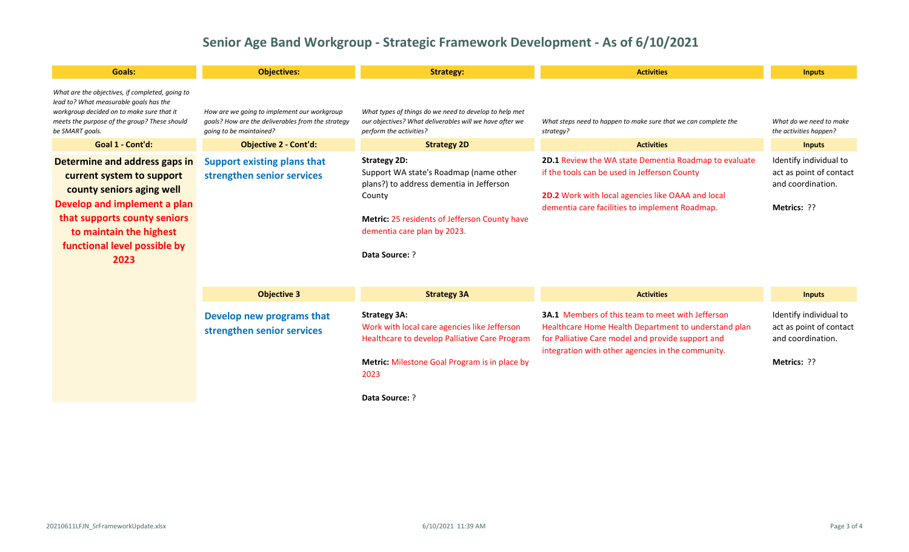| <b>Goals:</b>                                                                                                                                                                                                              | <b>Objectives:</b>                                                                                                          | <b>Strategy:</b>                                                                                                                                                                                                             | <b>Activities</b>                                                                                                                                                                                                          | <b>Inputs</b>                                                                                |
|----------------------------------------------------------------------------------------------------------------------------------------------------------------------------------------------------------------------------|-----------------------------------------------------------------------------------------------------------------------------|------------------------------------------------------------------------------------------------------------------------------------------------------------------------------------------------------------------------------|----------------------------------------------------------------------------------------------------------------------------------------------------------------------------------------------------------------------------|----------------------------------------------------------------------------------------------|
| What are the objectives, if completed, going to<br>lead to? What measurable goals has the<br>workgroup decided on to make sure that it<br>meets the purpose of the group? These should<br>be SMART goals.                  | How are we going to implement our workgroup<br>goals? How are the deliverables from the strategy<br>going to be maintained? | What types of things do we need to develop to help met<br>our objectives? What deliverables will we have after we<br>perform the activities?                                                                                 | What steps need to happen to make sure that we can complete the<br>strategy?                                                                                                                                               | What do we need to make<br>the activities happen?                                            |
| Goal 1 - Cont'd:                                                                                                                                                                                                           | <b>Objective 2 - Cont'd:</b>                                                                                                | <b>Strategy 2D</b>                                                                                                                                                                                                           | <b>Activities</b>                                                                                                                                                                                                          | <b>Inputs</b>                                                                                |
| Determine and address gaps in<br>current system to support<br>county seniors aging well<br>Develop and implement a plan<br>that supports county seniors<br>to maintain the highest<br>functional level possible by<br>2023 | <b>Support existing plans that</b><br>strengthen senior services                                                            | <b>Strategy 2D:</b><br>Support WA state's Roadmap (name other<br>plans?) to address dementia in Jefferson<br>County<br><b>Metric: 25 residents of Jefferson County have</b><br>dementia care plan by 2023.<br>Data Source: ? | <b>2D.1 Review the WA state Dementia Roadmap to evaluate</b><br>if the tools can be used in Jefferson County<br><b>2D.2</b> Work with local agencies like OAAA and local<br>dementia care facilities to implement Roadmap. | Identify individual to<br>act as point of contact<br>and coordination.<br><b>Metrics: ??</b> |

| <b>Objective 3</b>                                      | <b>Strategy 3A</b>                                                                                                   | <b>Activities</b>                                                                                                                                                                                                         | <b>Inputs</b>                                                          |
|---------------------------------------------------------|----------------------------------------------------------------------------------------------------------------------|---------------------------------------------------------------------------------------------------------------------------------------------------------------------------------------------------------------------------|------------------------------------------------------------------------|
| Develop new programs that<br>strengthen senior services | <b>Strategy 3A:</b><br>Work with local care agencies like Jefferson<br>Healthcare to develop Palliative Care Program | <b>3A.1</b> Members of this team to meet with Jefferson<br>Healthcare Home Health Department to understand plan<br>for Palliative Care model and provide support and<br>integration with other agencies in the community. | Identify individual to<br>act as point of contact<br>and coordination. |
|                                                         | Metric: Milestone Goal Program is in place by<br>2023                                                                |                                                                                                                                                                                                                           | <b>Metrics: ??</b>                                                     |
|                                                         | <b>Data Source: ?</b>                                                                                                |                                                                                                                                                                                                                           |                                                                        |